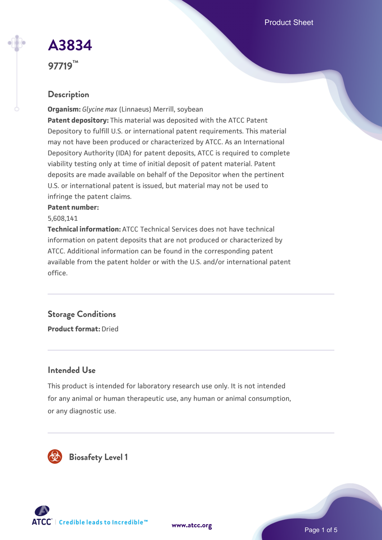Product Sheet

# **[A3834](https://www.atcc.org/products/97719)**

**97719™**

# **Description**

**Organism:** *Glycine max* (Linnaeus) Merrill, soybean **Patent depository:** This material was deposited with the ATCC Patent Depository to fulfill U.S. or international patent requirements. This material may not have been produced or characterized by ATCC. As an International Depository Authority (IDA) for patent deposits, ATCC is required to complete viability testing only at time of initial deposit of patent material. Patent deposits are made available on behalf of the Depositor when the pertinent U.S. or international patent is issued, but material may not be used to infringe the patent claims.

#### **Patent number:**

5,608,141

**Technical information:** ATCC Technical Services does not have technical information on patent deposits that are not produced or characterized by ATCC. Additional information can be found in the corresponding patent available from the patent holder or with the U.S. and/or international patent office.

# **Storage Conditions**

**Product format:** Dried

# **Intended Use**

This product is intended for laboratory research use only. It is not intended for any animal or human therapeutic use, any human or animal consumption, or any diagnostic use.



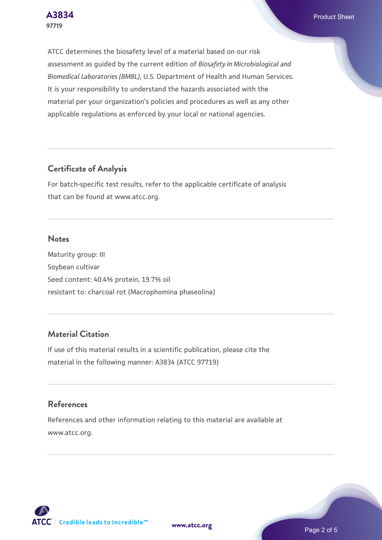**[A3834](https://www.atcc.org/products/97719)** Product Sheet

ATCC determines the biosafety level of a material based on our risk assessment as guided by the current edition of *Biosafety in Microbiological and Biomedical Laboratories (BMBL)*, U.S. Department of Health and Human Services. It is your responsibility to understand the hazards associated with the material per your organization's policies and procedures as well as any other applicable regulations as enforced by your local or national agencies.

# **Certificate of Analysis**

For batch-specific test results, refer to the applicable certificate of analysis that can be found at www.atcc.org.

#### **Notes**

Maturity group: III Soybean cultivar Seed content: 40.4% protein, 19.7% oil resistant to: charcoal rot (Macrophomina phaseolina)

# **Material Citation**

If use of this material results in a scientific publication, please cite the material in the following manner: A3834 (ATCC 97719)

# **References**

References and other information relating to this material are available at www.atcc.org.



**[www.atcc.org](http://www.atcc.org)**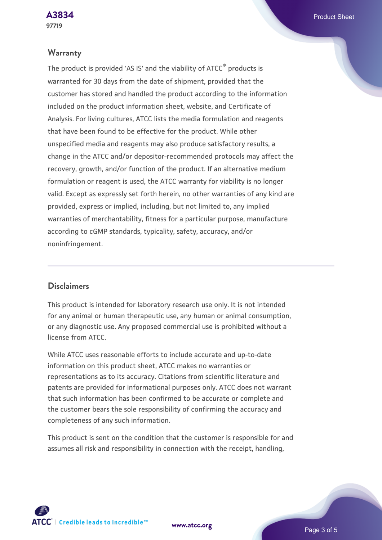#### **Warranty**

The product is provided 'AS IS' and the viability of ATCC® products is warranted for 30 days from the date of shipment, provided that the customer has stored and handled the product according to the information included on the product information sheet, website, and Certificate of Analysis. For living cultures, ATCC lists the media formulation and reagents that have been found to be effective for the product. While other unspecified media and reagents may also produce satisfactory results, a change in the ATCC and/or depositor-recommended protocols may affect the recovery, growth, and/or function of the product. If an alternative medium formulation or reagent is used, the ATCC warranty for viability is no longer valid. Except as expressly set forth herein, no other warranties of any kind are provided, express or implied, including, but not limited to, any implied warranties of merchantability, fitness for a particular purpose, manufacture according to cGMP standards, typicality, safety, accuracy, and/or noninfringement.

### **Disclaimers**

This product is intended for laboratory research use only. It is not intended for any animal or human therapeutic use, any human or animal consumption, or any diagnostic use. Any proposed commercial use is prohibited without a license from ATCC.

While ATCC uses reasonable efforts to include accurate and up-to-date information on this product sheet, ATCC makes no warranties or representations as to its accuracy. Citations from scientific literature and patents are provided for informational purposes only. ATCC does not warrant that such information has been confirmed to be accurate or complete and the customer bears the sole responsibility of confirming the accuracy and completeness of any such information.

This product is sent on the condition that the customer is responsible for and assumes all risk and responsibility in connection with the receipt, handling,

**[www.atcc.org](http://www.atcc.org)**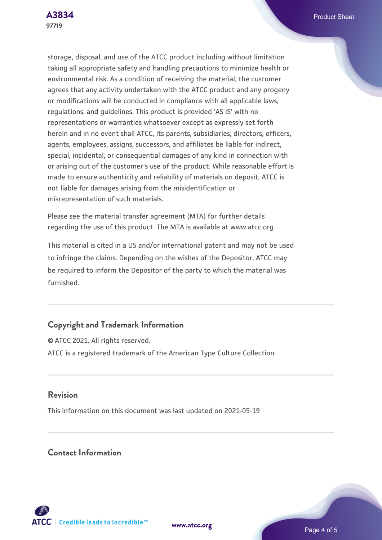storage, disposal, and use of the ATCC product including without limitation taking all appropriate safety and handling precautions to minimize health or environmental risk. As a condition of receiving the material, the customer agrees that any activity undertaken with the ATCC product and any progeny or modifications will be conducted in compliance with all applicable laws, regulations, and guidelines. This product is provided 'AS IS' with no representations or warranties whatsoever except as expressly set forth herein and in no event shall ATCC, its parents, subsidiaries, directors, officers, agents, employees, assigns, successors, and affiliates be liable for indirect, special, incidental, or consequential damages of any kind in connection with or arising out of the customer's use of the product. While reasonable effort is made to ensure authenticity and reliability of materials on deposit, ATCC is not liable for damages arising from the misidentification or misrepresentation of such materials.

Please see the material transfer agreement (MTA) for further details regarding the use of this product. The MTA is available at www.atcc.org.

This material is cited in a US and/or international patent and may not be used to infringe the claims. Depending on the wishes of the Depositor, ATCC may be required to inform the Depositor of the party to which the material was furnished.

# **Copyright and Trademark Information**

© ATCC 2021. All rights reserved. ATCC is a registered trademark of the American Type Culture Collection.

# **Revision**

This information on this document was last updated on 2021-05-19

# **Contact Information**